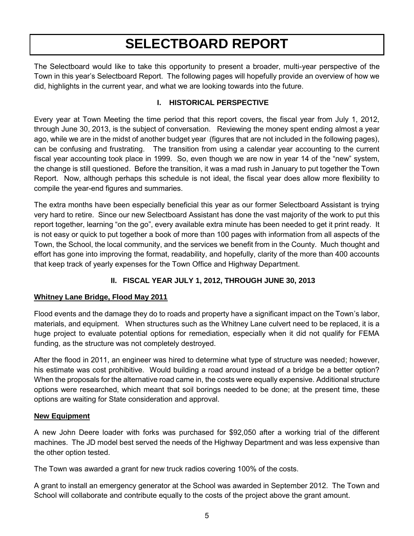# **SELECTBOARD REPORT**

The Selectboard would like to take this opportunity to present a broader, multi-year perspective of the Town in this year's Selectboard Report. The following pages will hopefully provide an overview of how we did, highlights in the current year, and what we are looking towards into the future.

### **I. HISTORICAL PERSPECTIVE**

Every year at Town Meeting the time period that this report covers, the fiscal year from July 1, 2012, through June 30, 2013, is the subject of conversation. Reviewing the money spent ending almost a year ago, while we are in the midst of another budget year (figures that are not included in the following pages), can be confusing and frustrating. The transition from using a calendar year accounting to the current fiscal year accounting took place in 1999. So, even though we are now in year 14 of the "new" system, the change is still questioned. Before the transition, it was a mad rush in January to put together the Town Report. Now, although perhaps this schedule is not ideal, the fiscal year does allow more flexibility to compile the year-end figures and summaries.

The extra months have been especially beneficial this year as our former Selectboard Assistant is trying very hard to retire. Since our new Selectboard Assistant has done the vast majority of the work to put this report together, learning "on the go", every available extra minute has been needed to get it print ready. It is not easy or quick to put together a book of more than 100 pages with information from all aspects of the Town, the School, the local community, and the services we benefit from in the County. Much thought and effort has gone into improving the format, readability, and hopefully, clarity of the more than 400 accounts that keep track of yearly expenses for the Town Office and Highway Department.

# **II. FISCAL YEAR JULY 1, 2012, THROUGH JUNE 30, 2013**

#### **Whitney Lane Bridge, Flood May 2011**

Flood events and the damage they do to roads and property have a significant impact on the Town's labor, materials, and equipment. When structures such as the Whitney Lane culvert need to be replaced, it is a huge project to evaluate potential options for remediation, especially when it did not qualify for FEMA funding, as the structure was not completely destroyed.

After the flood in 2011, an engineer was hired to determine what type of structure was needed; however, his estimate was cost prohibitive. Would building a road around instead of a bridge be a better option? When the proposals for the alternative road came in, the costs were equally expensive. Additional structure options were researched, which meant that soil borings needed to be done; at the present time, these options are waiting for State consideration and approval.

#### **New Equipment**

A new John Deere loader with forks was purchased for \$92,050 after a working trial of the different machines. The JD model best served the needs of the Highway Department and was less expensive than the other option tested.

The Town was awarded a grant for new truck radios covering 100% of the costs.

A grant to install an emergency generator at the School was awarded in September 2012. The Town and School will collaborate and contribute equally to the costs of the project above the grant amount.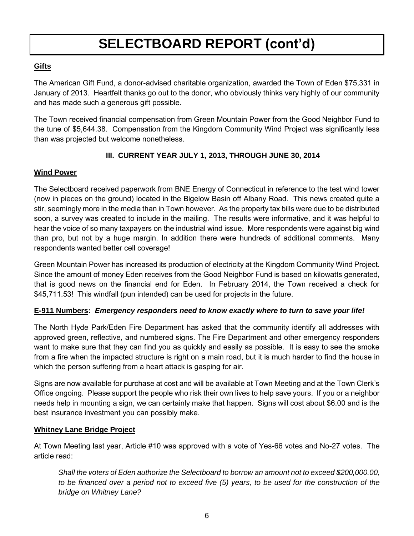# **SELECTBOARD REPORT (cont'd)**

## **Gifts**

The American Gift Fund, a donor-advised charitable organization, awarded the Town of Eden \$75,331 in January of 2013. Heartfelt thanks go out to the donor, who obviously thinks very highly of our community and has made such a generous gift possible.

The Town received financial compensation from Green Mountain Power from the Good Neighbor Fund to the tune of \$5,644.38. Compensation from the Kingdom Community Wind Project was significantly less than was projected but welcome nonetheless.

# **III. CURRENT YEAR JULY 1, 2013, THROUGH JUNE 30, 2014**

### **Wind Power**

The Selectboard received paperwork from BNE Energy of Connecticut in reference to the test wind tower (now in pieces on the ground) located in the Bigelow Basin off Albany Road. This news created quite a stir, seemingly more in the media than in Town however. As the property tax bills were due to be distributed soon, a survey was created to include in the mailing. The results were informative, and it was helpful to hear the voice of so many taxpayers on the industrial wind issue. More respondents were against big wind than pro, but not by a huge margin. In addition there were hundreds of additional comments. Many respondents wanted better cell coverage!

Green Mountain Power has increased its production of electricity at the Kingdom Community Wind Project. Since the amount of money Eden receives from the Good Neighbor Fund is based on kilowatts generated, that is good news on the financial end for Eden. In February 2014, the Town received a check for \$45,711.53! This windfall (pun intended) can be used for projects in the future.

#### **E-911 Numbers:** *Emergency responders need to know exactly where to turn to save your life!*

The North Hyde Park/Eden Fire Department has asked that the community identify all addresses with approved green, reflective, and numbered signs. The Fire Department and other emergency responders want to make sure that they can find you as quickly and easily as possible. It is easy to see the smoke from a fire when the impacted structure is right on a main road, but it is much harder to find the house in which the person suffering from a heart attack is gasping for air.

Signs are now available for purchase at cost and will be available at Town Meeting and at the Town Clerk's Office ongoing. Please support the people who risk their own lives to help save yours. If you or a neighbor needs help in mounting a sign, we can certainly make that happen. Signs will cost about \$6.00 and is the best insurance investment you can possibly make.

#### **Whitney Lane Bridge Project**

At Town Meeting last year, Article #10 was approved with a vote of Yes-66 votes and No-27 votes. The article read:

*Shall the voters of Eden authorize the Selectboard to borrow an amount not to exceed \$200,000.00, to be financed over a period not to exceed five (5) years, to be used for the construction of the bridge on Whitney Lane?*